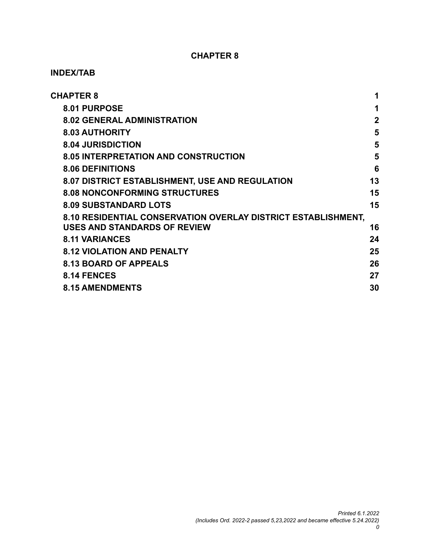#### **CHAPTER 8**

#### **INDEX/TAB**

| <b>CHAPTER 8</b>                     |                                                               | 1           |
|--------------------------------------|---------------------------------------------------------------|-------------|
| 8.01 PURPOSE                         |                                                               | 1           |
| <b>8.02 GENERAL ADMINISTRATION</b>   |                                                               | $\mathbf 2$ |
| <b>8.03 AUTHORITY</b>                |                                                               | 5           |
| <b>8.04 JURISDICTION</b>             |                                                               | 5           |
|                                      | <b>8.05 INTERPRETATION AND CONSTRUCTION</b>                   | 5           |
| <b>8.06 DEFINITIONS</b>              |                                                               | 6           |
|                                      | 8.07 DISTRICT ESTABLISHMENT, USE AND REGULATION               | 13          |
| <b>8.08 NONCONFORMING STRUCTURES</b> |                                                               | 15          |
| <b>8.09 SUBSTANDARD LOTS</b>         |                                                               | 15          |
|                                      | 8.10 RESIDENTIAL CONSERVATION OVERLAY DISTRICT ESTABLISHMENT, |             |
| <b>USES AND STANDARDS OF REVIEW</b>  |                                                               | 16          |
| <b>8.11 VARIANCES</b>                |                                                               | 24          |
| <b>8.12 VIOLATION AND PENALTY</b>    |                                                               | 25          |
| <b>8.13 BOARD OF APPEALS</b>         |                                                               | 26          |
| 8.14 FENCES                          |                                                               | 27          |
| <b>8.15 AMENDMENTS</b>               |                                                               | 30          |
|                                      |                                                               |             |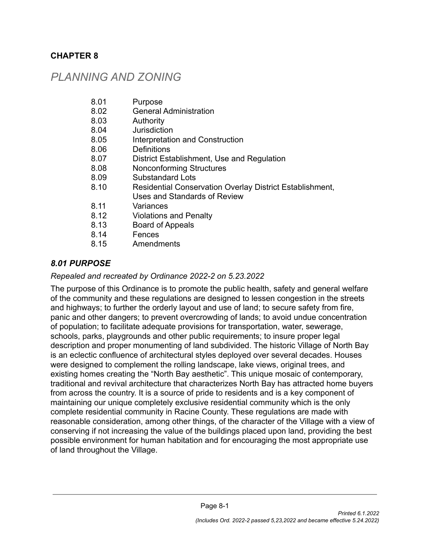#### <span id="page-1-0"></span>**CHAPTER 8**

# *PLANNING AND ZONING*

| 8.01 | Purpose |
|------|---------|
|------|---------|

- 8.02 General Administration
- 8.03 Authority
- 8.04 Jurisdiction
- 8.05 Interpretation and Construction
- 8.06 Definitions
- 8.07 District Establishment, Use and Regulation
- 8.08 Nonconforming Structures
- 8.09 Substandard Lots
- 8.10 Residential Conservation Overlay District Establishment,
	- Uses and Standards of Review
- 8.11 Variances
- 8.12 Violations and Penalty
- 8.13 Board of Appeals
- 8.14 Fences
- 8.15 Amendments

### <span id="page-1-1"></span>*8.01 PURPOSE*

#### *Repealed and recreated by Ordinance 2022-2 on 5.23.2022*

The purpose of this Ordinance is to promote the public health, safety and general welfare of the community and these regulations are designed to lessen congestion in the streets and highways; to further the orderly layout and use of land; to secure safety from fire, panic and other dangers; to prevent overcrowding of lands; to avoid undue concentration of population; to facilitate adequate provisions for transportation, water, sewerage, schools, parks, playgrounds and other public requirements; to insure proper legal description and proper monumenting of land subdivided. The historic Village of North Bay is an eclectic confluence of architectural styles deployed over several decades. Houses were designed to complement the rolling landscape, lake views, original trees, and existing homes creating the "North Bay aesthetic". This unique mosaic of contemporary, traditional and revival architecture that characterizes North Bay has attracted home buyers from across the country. It is a source of pride to residents and is a key component of maintaining our unique completely exclusive residential community which is the only complete residential community in Racine County. These regulations are made with reasonable consideration, among other things, of the character of the Village with a view of conserving if not increasing the value of the buildings placed upon land, providing the best possible environment for human habitation and for encouraging the most appropriate use of land throughout the Village.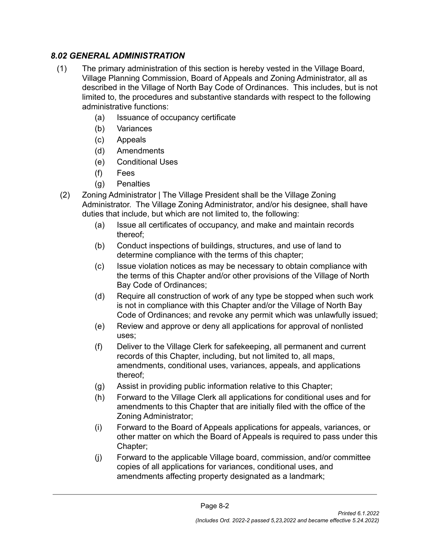#### <span id="page-2-0"></span>*8.02 GENERAL ADMINISTRATION*

- (1) The primary administration of this section is hereby vested in the Village Board, Village Planning Commission, Board of Appeals and Zoning Administrator, all as described in the Village of North Bay Code of Ordinances. This includes, but is not limited to, the procedures and substantive standards with respect to the following administrative functions:
	- (a) Issuance of occupancy certificate
	- (b) Variances
	- (c) Appeals
	- (d) Amendments
	- (e) Conditional Uses
	- (f) Fees
	- (g) Penalties
- (2) Zoning Administrator | The Village President shall be the Village Zoning Administrator. The Village Zoning Administrator, and/or his designee, shall have duties that include, but which are not limited to, the following:
	- (a) Issue all certificates of occupancy, and make and maintain records thereof;
	- (b) Conduct inspections of buildings, structures, and use of land to determine compliance with the terms of this chapter;
	- (c) Issue violation notices as may be necessary to obtain compliance with the terms of this Chapter and/or other provisions of the Village of North Bay Code of Ordinances;
	- (d) Require all construction of work of any type be stopped when such work is not in compliance with this Chapter and/or the Village of North Bay Code of Ordinances; and revoke any permit which was unlawfully issued;
	- (e) Review and approve or deny all applications for approval of nonlisted uses;
	- (f) Deliver to the Village Clerk for safekeeping, all permanent and current records of this Chapter, including, but not limited to, all maps, amendments, conditional uses, variances, appeals, and applications thereof;
	- (g) Assist in providing public information relative to this Chapter;
	- (h) Forward to the Village Clerk all applications for conditional uses and for amendments to this Chapter that are initially filed with the office of the Zoning Administrator;
	- (i) Forward to the Board of Appeals applications for appeals, variances, or other matter on which the Board of Appeals is required to pass under this Chapter;
	- (j) Forward to the applicable Village board, commission, and/or committee copies of all applications for variances, conditional uses, and amendments affecting property designated as a landmark;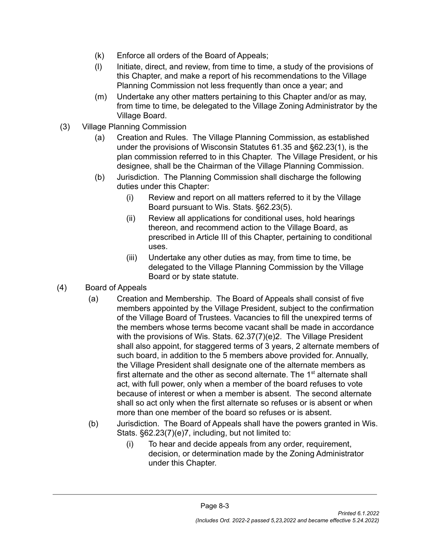- (k) Enforce all orders of the Board of Appeals;
- (l) Initiate, direct, and review, from time to time, a study of the provisions of this Chapter, and make a report of his recommendations to the Village Planning Commission not less frequently than once a year; and
- (m) Undertake any other matters pertaining to this Chapter and/or as may, from time to time, be delegated to the Village Zoning Administrator by the Village Board.
- (3) Village Planning Commission
	- (a) Creation and Rules. The Village Planning Commission, as established under the provisions of Wisconsin Statutes 61.35 and §62.23(1), is the plan commission referred to in this Chapter. The Village President, or his designee, shall be the Chairman of the Village Planning Commission.
	- (b) Jurisdiction. The Planning Commission shall discharge the following duties under this Chapter:
		- (i) Review and report on all matters referred to it by the Village Board pursuant to Wis. Stats. §62.23(5).
		- (ii) Review all applications for conditional uses, hold hearings thereon, and recommend action to the Village Board, as prescribed in Article III of this Chapter, pertaining to conditional uses.
		- (iii) Undertake any other duties as may, from time to time, be delegated to the Village Planning Commission by the Village Board or by state statute.
- (4) Board of Appeals
	- (a) Creation and Membership. The Board of Appeals shall consist of five members appointed by the Village President, subject to the confirmation of the Village Board of Trustees. Vacancies to fill the unexpired terms of the members whose terms become vacant shall be made in accordance with the provisions of Wis. Stats. 62.37(7)(e)2. The Village President shall also appoint, for staggered terms of 3 years, 2 alternate members of such board, in addition to the 5 members above provided for. Annually, the Village President shall designate one of the alternate members as first alternate and the other as second alternate. The 1<sup>st</sup> alternate shall act, with full power, only when a member of the board refuses to vote because of interest or when a member is absent. The second alternate shall so act only when the first alternate so refuses or is absent or when more than one member of the board so refuses or is absent.
	- (b) Jurisdiction. The Board of Appeals shall have the powers granted in Wis. Stats. §62.23(7)(e)7, including, but not limited to:
		- (i) To hear and decide appeals from any order, requirement, decision, or determination made by the Zoning Administrator under this Chapter.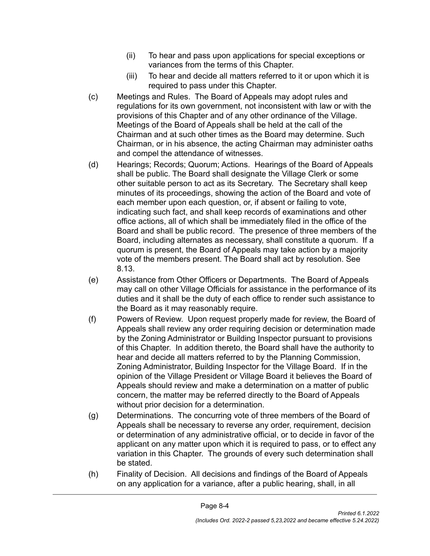- (ii) To hear and pass upon applications for special exceptions or variances from the terms of this Chapter.
- (iii) To hear and decide all matters referred to it or upon which it is required to pass under this Chapter.
- (c) Meetings and Rules. The Board of Appeals may adopt rules and regulations for its own government, not inconsistent with law or with the provisions of this Chapter and of any other ordinance of the Village. Meetings of the Board of Appeals shall be held at the call of the Chairman and at such other times as the Board may determine. Such Chairman, or in his absence, the acting Chairman may administer oaths and compel the attendance of witnesses.
- (d) Hearings; Records; Quorum; Actions. Hearings of the Board of Appeals shall be public. The Board shall designate the Village Clerk or some other suitable person to act as its Secretary. The Secretary shall keep minutes of its proceedings, showing the action of the Board and vote of each member upon each question, or, if absent or failing to vote, indicating such fact, and shall keep records of examinations and other office actions, all of which shall be immediately filed in the office of the Board and shall be public record. The presence of three members of the Board, including alternates as necessary, shall constitute a quorum. If a quorum is present, the Board of Appeals may take action by a majority vote of the members present. The Board shall act by resolution. See 8.13.
- (e) Assistance from Other Officers or Departments. The Board of Appeals may call on other Village Officials for assistance in the performance of its duties and it shall be the duty of each office to render such assistance to the Board as it may reasonably require.
- (f) Powers of Review. Upon request properly made for review, the Board of Appeals shall review any order requiring decision or determination made by the Zoning Administrator or Building Inspector pursuant to provisions of this Chapter. In addition thereto, the Board shall have the authority to hear and decide all matters referred to by the Planning Commission, Zoning Administrator, Building Inspector for the Village Board. If in the opinion of the Village President or Village Board it believes the Board of Appeals should review and make a determination on a matter of public concern, the matter may be referred directly to the Board of Appeals without prior decision for a determination.
- (g) Determinations. The concurring vote of three members of the Board of Appeals shall be necessary to reverse any order, requirement, decision or determination of any administrative official, or to decide in favor of the applicant on any matter upon which it is required to pass, or to effect any variation in this Chapter. The grounds of every such determination shall be stated.
- (h) Finality of Decision. All decisions and findings of the Board of Appeals on any application for a variance, after a public hearing, shall, in all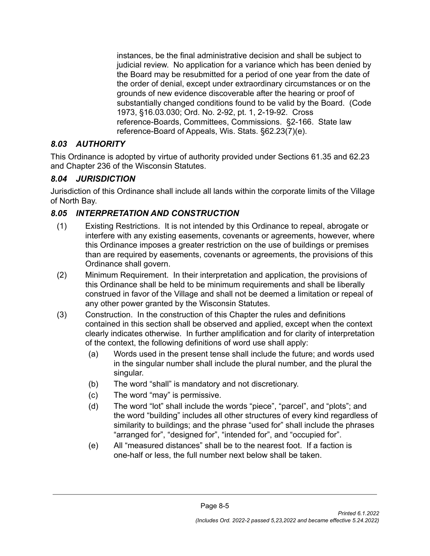instances, be the final administrative decision and shall be subject to judicial review. No application for a variance which has been denied by the Board may be resubmitted for a period of one year from the date of the order of denial, except under extraordinary circumstances or on the grounds of new evidence discoverable after the hearing or proof of substantially changed conditions found to be valid by the Board. (Code 1973, §16.03.030; Ord. No. 2-92, pt. 1, 2-19-92. Cross reference-Boards, Committees, Commissions. §2-166. State law reference-Board of Appeals, Wis. Stats. §62.23(7)(e).

### <span id="page-5-0"></span>*8.03 AUTHORITY*

This Ordinance is adopted by virtue of authority provided under Sections 61.35 and 62.23 and Chapter 236 of the Wisconsin Statutes.

# <span id="page-5-1"></span>*8.04 JURISDICTION*

Jurisdiction of this Ordinance shall include all lands within the corporate limits of the Village of North Bay.

# <span id="page-5-2"></span>*8.05 INTERPRETATION AND CONSTRUCTION*

- (1) Existing Restrictions. It is not intended by this Ordinance to repeal, abrogate or interfere with any existing easements, covenants or agreements, however, where this Ordinance imposes a greater restriction on the use of buildings or premises than are required by easements, covenants or agreements, the provisions of this Ordinance shall govern.
- (2) Minimum Requirement. In their interpretation and application, the provisions of this Ordinance shall be held to be minimum requirements and shall be liberally construed in favor of the Village and shall not be deemed a limitation or repeal of any other power granted by the Wisconsin Statutes.
- (3) Construction. In the construction of this Chapter the rules and definitions contained in this section shall be observed and applied, except when the context clearly indicates otherwise. In further amplification and for clarity of interpretation of the context, the following definitions of word use shall apply:
	- (a) Words used in the present tense shall include the future; and words used in the singular number shall include the plural number, and the plural the singular.
	- (b) The word "shall" is mandatory and not discretionary.
	- (c) The word "may" is permissive.
	- (d) The word "lot" shall include the words "piece", "parcel", and "plots"; and the word "building" includes all other structures of every kind regardless of similarity to buildings; and the phrase "used for" shall include the phrases "arranged for", "designed for", "intended for", and "occupied for".
	- (e) All "measured distances" shall be to the nearest foot. If a faction is one-half or less, the full number next below shall be taken.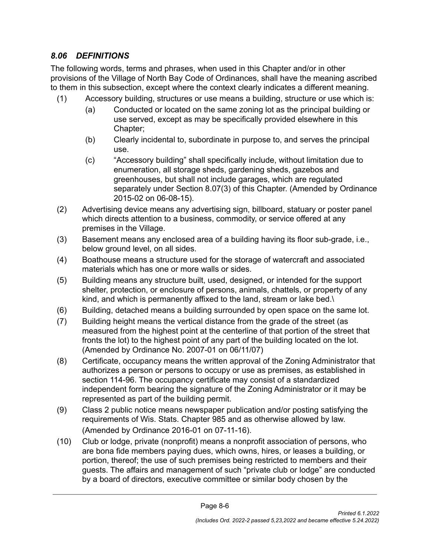### <span id="page-6-0"></span>*8.06 DEFINITIONS*

The following words, terms and phrases, when used in this Chapter and/or in other provisions of the Village of North Bay Code of Ordinances, shall have the meaning ascribed to them in this subsection, except where the context clearly indicates a different meaning.

- (1) Accessory building, structures or use means a building, structure or use which is:
	- (a) Conducted or located on the same zoning lot as the principal building or use served, except as may be specifically provided elsewhere in this Chapter;
	- (b) Clearly incidental to, subordinate in purpose to, and serves the principal use.
	- (c) "Accessory building" shall specifically include, without limitation due to enumeration, all storage sheds, gardening sheds, gazebos and greenhouses, but shall not include garages, which are regulated separately under Section 8.07(3) of this Chapter. (Amended by Ordinance 2015-02 on 06-08-15).
- (2) Advertising device means any advertising sign, billboard, statuary or poster panel which directs attention to a business, commodity, or service offered at any premises in the Village.
- (3) Basement means any enclosed area of a building having its floor sub-grade, i.e., below ground level, on all sides.
- (4) Boathouse means a structure used for the storage of watercraft and associated materials which has one or more walls or sides.
- (5) Building means any structure built, used, designed, or intended for the support shelter, protection, or enclosure of persons, animals, chattels, or property of any kind, and which is permanently affixed to the land, stream or lake bed.\
- (6) Building, detached means a building surrounded by open space on the same lot.
- (7) Building height means the vertical distance from the grade of the street (as measured from the highest point at the centerline of that portion of the street that fronts the lot) to the highest point of any part of the building located on the lot. (Amended by Ordinance No. 2007-01 on 06/11/07)
- (8) Certificate, occupancy means the written approval of the Zoning Administrator that authorizes a person or persons to occupy or use as premises, as established in section 114-96. The occupancy certificate may consist of a standardized independent form bearing the signature of the Zoning Administrator or it may be represented as part of the building permit.
- (9) Class 2 public notice means newspaper publication and/or posting satisfying the requirements of Wis. Stats. Chapter 985 and as otherwise allowed by law. (Amended by Ordinance 2016-01 on 07-11-16).
- (10) Club or lodge, private (nonprofit) means a nonprofit association of persons, who are bona fide members paying dues, which owns, hires, or leases a building, or portion, thereof; the use of such premises being restricted to members and their guests. The affairs and management of such "private club or lodge" are conducted by a board of directors, executive committee or similar body chosen by the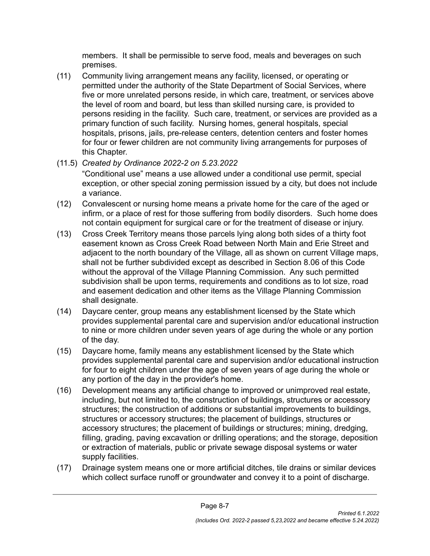members. It shall be permissible to serve food, meals and beverages on such premises.

- (11) Community living arrangement means any facility, licensed, or operating or permitted under the authority of the State Department of Social Services, where five or more unrelated persons reside, in which care, treatment, or services above the level of room and board, but less than skilled nursing care, is provided to persons residing in the facility. Such care, treatment, or services are provided as a primary function of such facility. Nursing homes, general hospitals, special hospitals, prisons, jails, pre-release centers, detention centers and foster homes for four or fewer children are not community living arrangements for purposes of this Chapter.
- (11.5) *Created by Ordinance 2022-2 on 5.23.2022*

"Conditional use" means a use allowed under a conditional use permit, special exception, or other special zoning permission issued by a city, but does not include a variance.

- (12) Convalescent or nursing home means a private home for the care of the aged or infirm, or a place of rest for those suffering from bodily disorders. Such home does not contain equipment for surgical care or for the treatment of disease or injury.
- (13) Cross Creek Territory means those parcels lying along both sides of a thirty foot easement known as Cross Creek Road between North Main and Erie Street and adjacent to the north boundary of the Village, all as shown on current Village maps, shall not be further subdivided except as described in Section 8.06 of this Code without the approval of the Village Planning Commission. Any such permitted subdivision shall be upon terms, requirements and conditions as to lot size, road and easement dedication and other items as the Village Planning Commission shall designate.
- (14) Daycare center, group means any establishment licensed by the State which provides supplemental parental care and supervision and/or educational instruction to nine or more children under seven years of age during the whole or any portion of the day.
- (15) Daycare home, family means any establishment licensed by the State which provides supplemental parental care and supervision and/or educational instruction for four to eight children under the age of seven years of age during the whole or any portion of the day in the provider's home.
- (16) Development means any artificial change to improved or unimproved real estate, including, but not limited to, the construction of buildings, structures or accessory structures; the construction of additions or substantial improvements to buildings, structures or accessory structures; the placement of buildings, structures or accessory structures; the placement of buildings or structures; mining, dredging, filling, grading, paving excavation or drilling operations; and the storage, deposition or extraction of materials, public or private sewage disposal systems or water supply facilities.
- (17) Drainage system means one or more artificial ditches, tile drains or similar devices which collect surface runoff or groundwater and convey it to a point of discharge.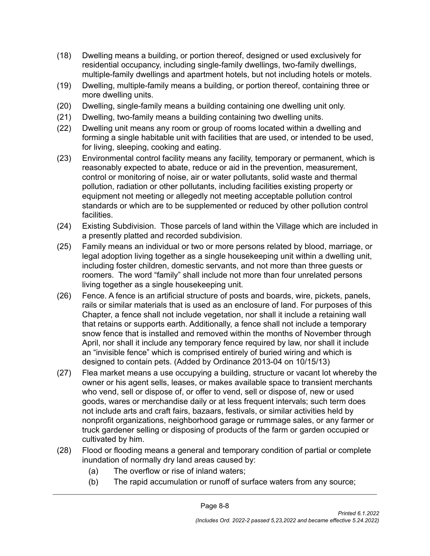- (18) Dwelling means a building, or portion thereof, designed or used exclusively for residential occupancy, including single-family dwellings, two-family dwellings, multiple-family dwellings and apartment hotels, but not including hotels or motels.
- (19) Dwelling, multiple-family means a building, or portion thereof, containing three or more dwelling units.
- (20) Dwelling, single-family means a building containing one dwelling unit only.
- (21) Dwelling, two-family means a building containing two dwelling units.
- (22) Dwelling unit means any room or group of rooms located within a dwelling and forming a single habitable unit with facilities that are used, or intended to be used, for living, sleeping, cooking and eating.
- (23) Environmental control facility means any facility, temporary or permanent, which is reasonably expected to abate, reduce or aid in the prevention, measurement, control or monitoring of noise, air or water pollutants, solid waste and thermal pollution, radiation or other pollutants, including facilities existing property or equipment not meeting or allegedly not meeting acceptable pollution control standards or which are to be supplemented or reduced by other pollution control facilities.
- (24) Existing Subdivision. Those parcels of land within the Village which are included in a presently platted and recorded subdivision.
- (25) Family means an individual or two or more persons related by blood, marriage, or legal adoption living together as a single housekeeping unit within a dwelling unit, including foster children, domestic servants, and not more than three guests or roomers. The word "family" shall include not more than four unrelated persons living together as a single housekeeping unit.
- (26) Fence. A fence is an artificial structure of posts and boards, wire, pickets, panels, rails or similar materials that is used as an enclosure of land. For purposes of this Chapter, a fence shall not include vegetation, nor shall it include a retaining wall that retains or supports earth. Additionally, a fence shall not include a temporary snow fence that is installed and removed within the months of November through April, nor shall it include any temporary fence required by law, nor shall it include an "invisible fence" which is comprised entirely of buried wiring and which is designed to contain pets. (Added by Ordinance 2013-04 on 10/15/13)
- (27) Flea market means a use occupying a building, structure or vacant lot whereby the owner or his agent sells, leases, or makes available space to transient merchants who vend, sell or dispose of, or offer to vend, sell or dispose of, new or used goods, wares or merchandise daily or at less frequent intervals; such term does not include arts and craft fairs, bazaars, festivals, or similar activities held by nonprofit organizations, neighborhood garage or rummage sales, or any farmer or truck gardener selling or disposing of products of the farm or garden occupied or cultivated by him.
- (28) Flood or flooding means a general and temporary condition of partial or complete inundation of normally dry land areas caused by:
	- (a) The overflow or rise of inland waters;
	- (b) The rapid accumulation or runoff of surface waters from any source;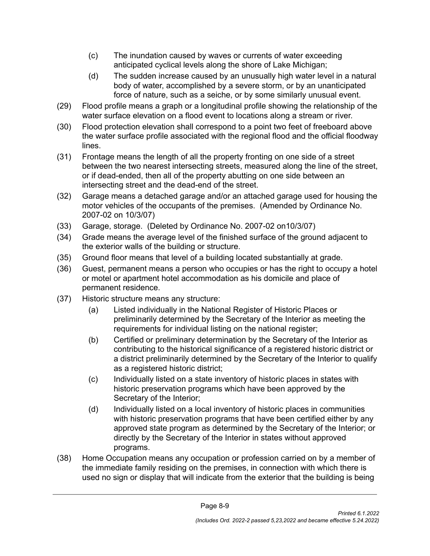- (c) The inundation caused by waves or currents of water exceeding anticipated cyclical levels along the shore of Lake Michigan;
- (d) The sudden increase caused by an unusually high water level in a natural body of water, accomplished by a severe storm, or by an unanticipated force of nature, such as a seiche, or by some similarly unusual event.
- (29) Flood profile means a graph or a longitudinal profile showing the relationship of the water surface elevation on a flood event to locations along a stream or river.
- (30) Flood protection elevation shall correspond to a point two feet of freeboard above the water surface profile associated with the regional flood and the official floodway lines.
- (31) Frontage means the length of all the property fronting on one side of a street between the two nearest intersecting streets, measured along the line of the street, or if dead-ended, then all of the property abutting on one side between an intersecting street and the dead-end of the street.
- (32) Garage means a detached garage and/or an attached garage used for housing the motor vehicles of the occupants of the premises. (Amended by Ordinance No. 2007-02 on 10/3/07)
- (33) Garage, storage. (Deleted by Ordinance No. 2007-02 on10/3/07)
- (34) Grade means the average level of the finished surface of the ground adjacent to the exterior walls of the building or structure.
- (35) Ground floor means that level of a building located substantially at grade.
- (36) Guest, permanent means a person who occupies or has the right to occupy a hotel or motel or apartment hotel accommodation as his domicile and place of permanent residence.
- (37) Historic structure means any structure:
	- (a) Listed individually in the National Register of Historic Places or preliminarily determined by the Secretary of the Interior as meeting the requirements for individual listing on the national register;
	- (b) Certified or preliminary determination by the Secretary of the Interior as contributing to the historical significance of a registered historic district or a district preliminarily determined by the Secretary of the Interior to qualify as a registered historic district;
	- (c) Individually listed on a state inventory of historic places in states with historic preservation programs which have been approved by the Secretary of the Interior;
	- (d) Individually listed on a local inventory of historic places in communities with historic preservation programs that have been certified either by any approved state program as determined by the Secretary of the Interior; or directly by the Secretary of the Interior in states without approved programs.
- (38) Home Occupation means any occupation or profession carried on by a member of the immediate family residing on the premises, in connection with which there is used no sign or display that will indicate from the exterior that the building is being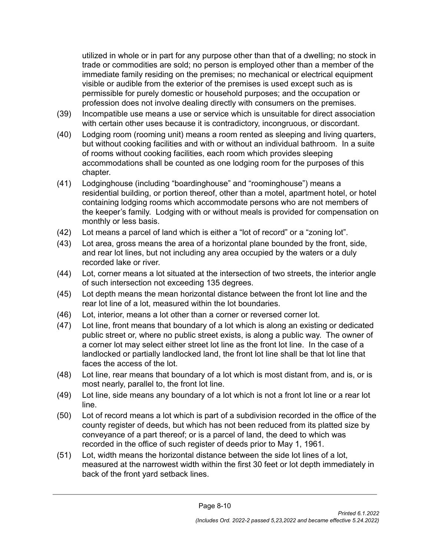utilized in whole or in part for any purpose other than that of a dwelling; no stock in trade or commodities are sold; no person is employed other than a member of the immediate family residing on the premises; no mechanical or electrical equipment visible or audible from the exterior of the premises is used except such as is permissible for purely domestic or household purposes; and the occupation or profession does not involve dealing directly with consumers on the premises.

- (39) Incompatible use means a use or service which is unsuitable for direct association with certain other uses because it is contradictory, incongruous, or discordant.
- (40) Lodging room (rooming unit) means a room rented as sleeping and living quarters, but without cooking facilities and with or without an individual bathroom. In a suite of rooms without cooking facilities, each room which provides sleeping accommodations shall be counted as one lodging room for the purposes of this chapter.
- (41) Lodginghouse (including "boardinghouse" and "roominghouse") means a residential building, or portion thereof, other than a motel, apartment hotel, or hotel containing lodging rooms which accommodate persons who are not members of the keeper's family. Lodging with or without meals is provided for compensation on monthly or less basis.
- (42) Lot means a parcel of land which is either a "lot of record" or a "zoning lot".
- (43) Lot area, gross means the area of a horizontal plane bounded by the front, side, and rear lot lines, but not including any area occupied by the waters or a duly recorded lake or river.
- (44) Lot, corner means a lot situated at the intersection of two streets, the interior angle of such intersection not exceeding 135 degrees.
- (45) Lot depth means the mean horizontal distance between the front lot line and the rear lot line of a lot, measured within the lot boundaries.
- (46) Lot, interior, means a lot other than a corner or reversed corner lot.
- (47) Lot line, front means that boundary of a lot which is along an existing or dedicated public street or, where no public street exists, is along a public way. The owner of a corner lot may select either street lot line as the front lot line. In the case of a landlocked or partially landlocked land, the front lot line shall be that lot line that faces the access of the lot.
- (48) Lot line, rear means that boundary of a lot which is most distant from, and is, or is most nearly, parallel to, the front lot line.
- (49) Lot line, side means any boundary of a lot which is not a front lot line or a rear lot line.
- (50) Lot of record means a lot which is part of a subdivision recorded in the office of the county register of deeds, but which has not been reduced from its platted size by conveyance of a part thereof; or is a parcel of land, the deed to which was recorded in the office of such register of deeds prior to May 1, 1961.
- (51) Lot, width means the horizontal distance between the side lot lines of a lot, measured at the narrowest width within the first 30 feet or lot depth immediately in back of the front yard setback lines.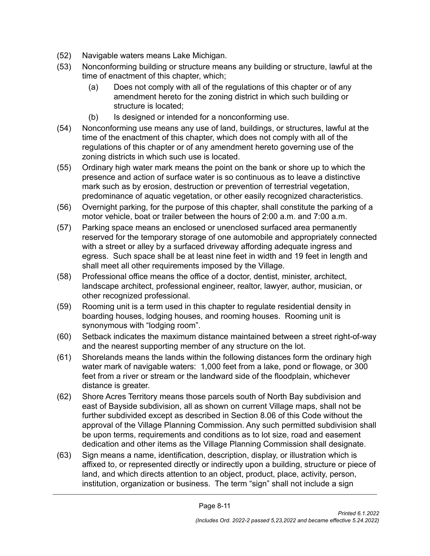- (52) Navigable waters means Lake Michigan.
- (53) Nonconforming building or structure means any building or structure, lawful at the time of enactment of this chapter, which;
	- (a) Does not comply with all of the regulations of this chapter or of any amendment hereto for the zoning district in which such building or structure is located;
	- (b) Is designed or intended for a nonconforming use.
- (54) Nonconforming use means any use of land, buildings, or structures, lawful at the time of the enactment of this chapter, which does not comply with all of the regulations of this chapter or of any amendment hereto governing use of the zoning districts in which such use is located.
- (55) Ordinary high water mark means the point on the bank or shore up to which the presence and action of surface water is so continuous as to leave a distinctive mark such as by erosion, destruction or prevention of terrestrial vegetation, predominance of aquatic vegetation, or other easily recognized characteristics.
- (56) Overnight parking, for the purpose of this chapter, shall constitute the parking of a motor vehicle, boat or trailer between the hours of 2:00 a.m. and 7:00 a.m.
- (57) Parking space means an enclosed or unenclosed surfaced area permanently reserved for the temporary storage of one automobile and appropriately connected with a street or alley by a surfaced driveway affording adequate ingress and egress. Such space shall be at least nine feet in width and 19 feet in length and shall meet all other requirements imposed by the Village.
- (58) Professional office means the office of a doctor, dentist, minister, architect, landscape architect, professional engineer, realtor, lawyer, author, musician, or other recognized professional.
- (59) Rooming unit is a term used in this chapter to regulate residential density in boarding houses, lodging houses, and rooming houses. Rooming unit is synonymous with "lodging room".
- (60) Setback indicates the maximum distance maintained between a street right-of-way and the nearest supporting member of any structure on the lot.
- (61) Shorelands means the lands within the following distances form the ordinary high water mark of navigable waters: 1,000 feet from a lake, pond or flowage, or 300 feet from a river or stream or the landward side of the floodplain, whichever distance is greater.
- (62) Shore Acres Territory means those parcels south of North Bay subdivision and east of Bayside subdivision, all as shown on current Village maps, shall not be further subdivided except as described in Section 8.06 of this Code without the approval of the Village Planning Commission. Any such permitted subdivision shall be upon terms, requirements and conditions as to lot size, road and easement dedication and other items as the Village Planning Commission shall designate.
- (63) Sign means a name, identification, description, display, or illustration which is affixed to, or represented directly or indirectly upon a building, structure or piece of land, and which directs attention to an object, product, place, activity, person, institution, organization or business. The term "sign" shall not include a sign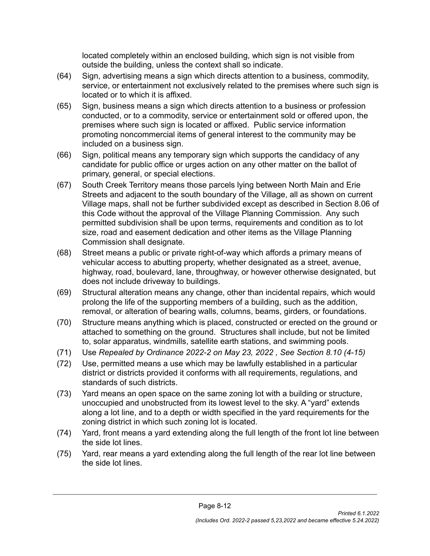located completely within an enclosed building, which sign is not visible from outside the building, unless the context shall so indicate.

- (64) Sign, advertising means a sign which directs attention to a business, commodity, service, or entertainment not exclusively related to the premises where such sign is located or to which it is affixed.
- (65) Sign, business means a sign which directs attention to a business or profession conducted, or to a commodity, service or entertainment sold or offered upon, the premises where such sign is located or affixed. Public service information promoting noncommercial items of general interest to the community may be included on a business sign.
- (66) Sign, political means any temporary sign which supports the candidacy of any candidate for public office or urges action on any other matter on the ballot of primary, general, or special elections.
- (67) South Creek Territory means those parcels lying between North Main and Erie Streets and adjacent to the south boundary of the Village, all as shown on current Village maps, shall not be further subdivided except as described in Section 8.06 of this Code without the approval of the Village Planning Commission. Any such permitted subdivision shall be upon terms, requirements and condition as to lot size, road and easement dedication and other items as the Village Planning Commission shall designate.
- (68) Street means a public or private right-of-way which affords a primary means of vehicular access to abutting property, whether designated as a street, avenue, highway, road, boulevard, lane, throughway, or however otherwise designated, but does not include driveway to buildings.
- (69) Structural alteration means any change, other than incidental repairs, which would prolong the life of the supporting members of a building, such as the addition, removal, or alteration of bearing walls, columns, beams, girders, or foundations.
- (70) Structure means anything which is placed, constructed or erected on the ground or attached to something on the ground. Structures shall include, but not be limited to, solar apparatus, windmills, satellite earth stations, and swimming pools.
- (71) Use *Repealed by Ordinance 2022-2 on May 23, 2022 , See Section 8.10 (4-15)*
- (72) Use, permitted means a use which may be lawfully established in a particular district or districts provided it conforms with all requirements, regulations, and standards of such districts.
- (73) Yard means an open space on the same zoning lot with a building or structure, unoccupied and unobstructed from its lowest level to the sky. A "yard" extends along a lot line, and to a depth or width specified in the yard requirements for the zoning district in which such zoning lot is located.
- (74) Yard, front means a yard extending along the full length of the front lot line between the side lot lines.
- (75) Yard, rear means a yard extending along the full length of the rear lot line between the side lot lines.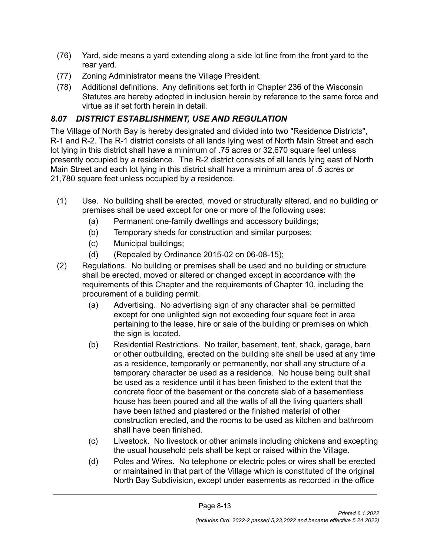- (76) Yard, side means a yard extending along a side lot line from the front yard to the rear yard.
- (77) Zoning Administrator means the Village President.
- (78) Additional definitions. Any definitions set forth in Chapter 236 of the Wisconsin Statutes are hereby adopted in inclusion herein by reference to the same force and virtue as if set forth herein in detail.

# <span id="page-13-0"></span>*8.07 DISTRICT ESTABLISHMENT, USE AND REGULATION*

The Village of North Bay is hereby designated and divided into two "Residence Districts", R-1 and R-2. The R-1 district consists of all lands lying west of North Main Street and each lot lying in this district shall have a minimum of .75 acres or 32,670 square feet unless presently occupied by a residence. The R-2 district consists of all lands lying east of North Main Street and each lot lying in this district shall have a minimum area of .5 acres or 21,780 square feet unless occupied by a residence.

- (1) Use. No building shall be erected, moved or structurally altered, and no building or premises shall be used except for one or more of the following uses:
	- (a) Permanent one-family dwellings and accessory buildings;
	- (b) Temporary sheds for construction and similar purposes;
	- (c) Municipal buildings;
	- (d) (Repealed by Ordinance 2015-02 on 06-08-15);
- (2) Regulations. No building or premises shall be used and no building or structure shall be erected, moved or altered or changed except in accordance with the requirements of this Chapter and the requirements of Chapter 10, including the procurement of a building permit.
	- (a) Advertising. No advertising sign of any character shall be permitted except for one unlighted sign not exceeding four square feet in area pertaining to the lease, hire or sale of the building or premises on which the sign is located.
	- (b) Residential Restrictions. No trailer, basement, tent, shack, garage, barn or other outbuilding, erected on the building site shall be used at any time as a residence, temporarily or permanently, nor shall any structure of a temporary character be used as a residence. No house being built shall be used as a residence until it has been finished to the extent that the concrete floor of the basement or the concrete slab of a basementless house has been poured and all the walls of all the living quarters shall have been lathed and plastered or the finished material of other construction erected, and the rooms to be used as kitchen and bathroom shall have been finished.
	- (c) Livestock. No livestock or other animals including chickens and excepting the usual household pets shall be kept or raised within the Village.
	- (d) Poles and Wires. No telephone or electric poles or wires shall be erected or maintained in that part of the Village which is constituted of the original North Bay Subdivision, except under easements as recorded in the office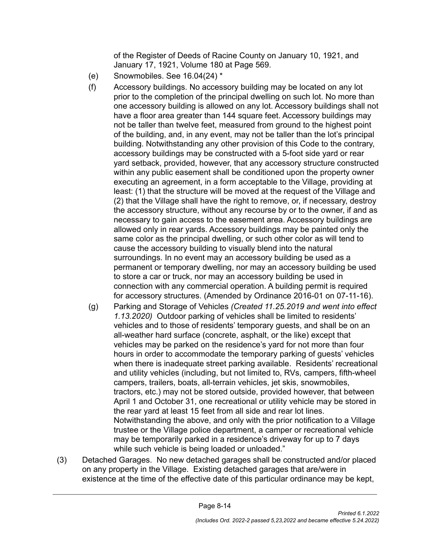of the Register of Deeds of Racine County on January 10, 1921, and January 17, 1921, Volume 180 at Page 569.

- (e) Snowmobiles. See 16.04(24) \*
- (f) Accessory buildings. No accessory building may be located on any lot prior to the completion of the principal dwelling on such lot. No more than one accessory building is allowed on any lot. Accessory buildings shall not have a floor area greater than 144 square feet. Accessory buildings may not be taller than twelve feet, measured from ground to the highest point of the building, and, in any event, may not be taller than the lot's principal building. Notwithstanding any other provision of this Code to the contrary, accessory buildings may be constructed with a 5-foot side yard or rear yard setback, provided, however, that any accessory structure constructed within any public easement shall be conditioned upon the property owner executing an agreement, in a form acceptable to the Village, providing at least: (1) that the structure will be moved at the request of the Village and (2) that the Village shall have the right to remove, or, if necessary, destroy the accessory structure, without any recourse by or to the owner, if and as necessary to gain access to the easement area. Accessory buildings are allowed only in rear yards. Accessory buildings may be painted only the same color as the principal dwelling, or such other color as will tend to cause the accessory building to visually blend into the natural surroundings. In no event may an accessory building be used as a permanent or temporary dwelling, nor may an accessory building be used to store a car or truck, nor may an accessory building be used in connection with any commercial operation. A building permit is required for accessory structures. (Amended by Ordinance 2016-01 on 07-11-16).
- (g) Parking and Storage of Vehicles *(Created 11.25.2019 and went into effect 1.13.2020)* Outdoor parking of vehicles shall be limited to residents' vehicles and to those of residents' temporary guests, and shall be on an all-weather hard surface (concrete, asphalt, or the like) except that vehicles may be parked on the residence's yard for not more than four hours in order to accommodate the temporary parking of guests' vehicles when there is inadequate street parking available. Residents' recreational and utility vehicles (including, but not limited to, RVs, campers, fifth-wheel campers, trailers, boats, all-terrain vehicles, jet skis, snowmobiles, tractors, etc.) may not be stored outside, provided however, that between April 1 and October 31, one recreational or utility vehicle may be stored in the rear yard at least 15 feet from all side and rear lot lines. Notwithstanding the above, and only with the prior notification to a Village trustee or the Village police department, a camper or recreational vehicle may be temporarily parked in a residence's driveway for up to 7 days while such vehicle is being loaded or unloaded."
- (3) Detached Garages. No new detached garages shall be constructed and/or placed on any property in the Village. Existing detached garages that are/were in existence at the time of the effective date of this particular ordinance may be kept,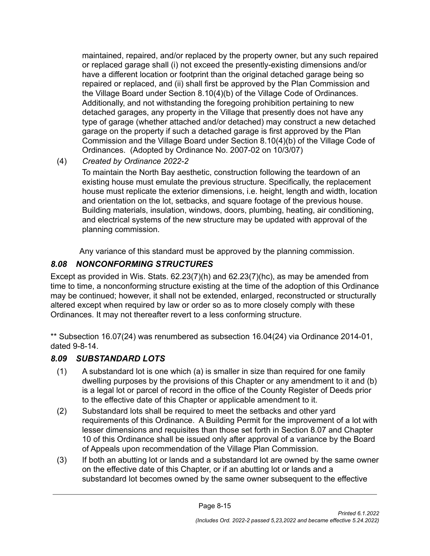maintained, repaired, and/or replaced by the property owner, but any such repaired or replaced garage shall (i) not exceed the presently-existing dimensions and/or have a different location or footprint than the original detached garage being so repaired or replaced, and (ii) shall first be approved by the Plan Commission and the Village Board under Section 8.10(4)(b) of the Village Code of Ordinances. Additionally, and not withstanding the foregoing prohibition pertaining to new detached garages, any property in the Village that presently does not have any type of garage (whether attached and/or detached) may construct a new detached garage on the property if such a detached garage is first approved by the Plan Commission and the Village Board under Section 8.10(4)(b) of the Village Code of Ordinances. (Adopted by Ordinance No. 2007-02 on 10/3/07)

(4) *Created by Ordinance 2022-2*

To maintain the North Bay aesthetic, construction following the teardown of an existing house must emulate the previous structure. Specifically, the replacement house must replicate the exterior dimensions, i.e. height, length and width, location and orientation on the lot, setbacks, and square footage of the previous house. Building materials, insulation, windows, doors, plumbing, heating, air conditioning, and electrical systems of the new structure may be updated with approval of the planning commission.

Any variance of this standard must be approved by the planning commission.

# <span id="page-15-0"></span>*8.08 NONCONFORMING STRUCTURES*

Except as provided in Wis. Stats. 62.23(7)(h) and 62.23(7)(hc), as may be amended from time to time, a nonconforming structure existing at the time of the adoption of this Ordinance may be continued; however, it shall not be extended, enlarged, reconstructed or structurally altered except when required by law or order so as to more closely comply with these Ordinances. It may not thereafter revert to a less conforming structure.

\*\* Subsection 16.07(24) was renumbered as subsection 16.04(24) via Ordinance 2014-01, dated 9-8-14.

# <span id="page-15-1"></span>*8.09 SUBSTANDARD LOTS*

- (1) A substandard lot is one which (a) is smaller in size than required for one family dwelling purposes by the provisions of this Chapter or any amendment to it and (b) is a legal lot or parcel of record in the office of the County Register of Deeds prior to the effective date of this Chapter or applicable amendment to it.
- (2) Substandard lots shall be required to meet the setbacks and other yard requirements of this Ordinance. A Building Permit for the improvement of a lot with lesser dimensions and requisites than those set forth in Section 8.07 and Chapter 10 of this Ordinance shall be issued only after approval of a variance by the Board of Appeals upon recommendation of the Village Plan Commission.
- (3) If both an abutting lot or lands and a substandard lot are owned by the same owner on the effective date of this Chapter, or if an abutting lot or lands and a substandard lot becomes owned by the same owner subsequent to the effective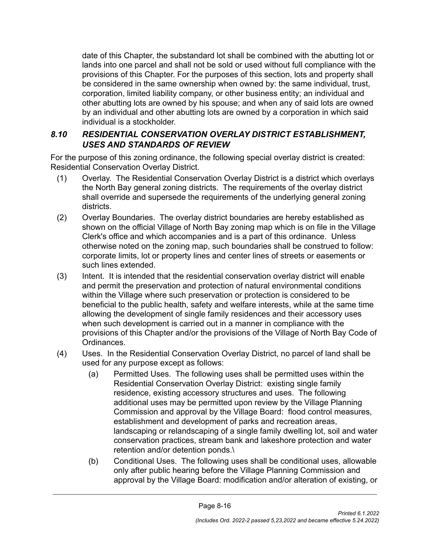date of this Chapter, the substandard lot shall be combined with the abutting lot or lands into one parcel and shall not be sold or used without full compliance with the provisions of this Chapter. For the purposes of this section, lots and property shall be considered in the same ownership when owned by: the same individual, trust, corporation, limited liability company, or other business entity; an individual and other abutting lots are owned by his spouse; and when any of said lots are owned by an individual and other abutting lots are owned by a corporation in which said individual is a stockholder.

#### <span id="page-16-0"></span>*8.10 RESIDENTIAL CONSERVATION OVERLAY DISTRICT ESTABLISHMENT, USES AND STANDARDS OF REVIEW*

For the purpose of this zoning ordinance, the following special overlay district is created: Residential Conservation Overlay District.

- (1) Overlay. The Residential Conservation Overlay District is a district which overlays the North Bay general zoning districts. The requirements of the overlay district shall override and supersede the requirements of the underlying general zoning districts.
- (2) Overlay Boundaries. The overlay district boundaries are hereby established as shown on the official Village of North Bay zoning map which is on file in the Village Clerk's office and which accompanies and is a part of this ordinance. Unless otherwise noted on the zoning map, such boundaries shall be construed to follow: corporate limits, lot or property lines and center lines of streets or easements or such lines extended.
- (3) Intent. It is intended that the residential conservation overlay district will enable and permit the preservation and protection of natural environmental conditions within the Village where such preservation or protection is considered to be beneficial to the public health, safety and welfare interests, while at the same time allowing the development of single family residences and their accessory uses when such development is carried out in a manner in compliance with the provisions of this Chapter and/or the provisions of the Village of North Bay Code of Ordinances.
- (4) Uses. In the Residential Conservation Overlay District, no parcel of land shall be used for any purpose except as follows:
	- (a) Permitted Uses. The following uses shall be permitted uses within the Residential Conservation Overlay District: existing single family residence, existing accessory structures and uses. The following additional uses may be permitted upon review by the Village Planning Commission and approval by the Village Board: flood control measures, establishment and development of parks and recreation areas, landscaping or relandscaping of a single family dwelling lot, soil and water conservation practices, stream bank and lakeshore protection and water retention and/or detention ponds.\
	- (b) Conditional Uses. The following uses shall be conditional uses, allowable only after public hearing before the Village Planning Commission and approval by the Village Board: modification and/or alteration of existing, or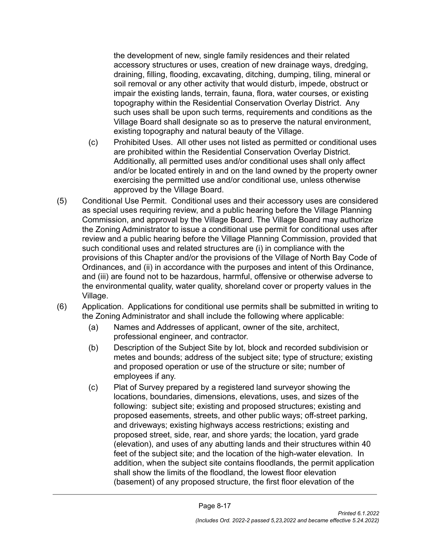the development of new, single family residences and their related accessory structures or uses, creation of new drainage ways, dredging, draining, filling, flooding, excavating, ditching, dumping, tiling, mineral or soil removal or any other activity that would disturb, impede, obstruct or impair the existing lands, terrain, fauna, flora, water courses, or existing topography within the Residential Conservation Overlay District. Any such uses shall be upon such terms, requirements and conditions as the Village Board shall designate so as to preserve the natural environment, existing topography and natural beauty of the Village.

- (c) Prohibited Uses. All other uses not listed as permitted or conditional uses are prohibited within the Residential Conservation Overlay District. Additionally, all permitted uses and/or conditional uses shall only affect and/or be located entirely in and on the land owned by the property owner exercising the permitted use and/or conditional use, unless otherwise approved by the Village Board.
- (5) Conditional Use Permit. Conditional uses and their accessory uses are considered as special uses requiring review, and a public hearing before the Village Planning Commission, and approval by the Village Board. The Village Board may authorize the Zoning Administrator to issue a conditional use permit for conditional uses after review and a public hearing before the Village Planning Commission, provided that such conditional uses and related structures are (i) in compliance with the provisions of this Chapter and/or the provisions of the Village of North Bay Code of Ordinances, and (ii) in accordance with the purposes and intent of this Ordinance, and (iii) are found not to be hazardous, harmful, offensive or otherwise adverse to the environmental quality, water quality, shoreland cover or property values in the Village.
- (6) Application. Applications for conditional use permits shall be submitted in writing to the Zoning Administrator and shall include the following where applicable:
	- (a) Names and Addresses of applicant, owner of the site, architect, professional engineer, and contractor.
	- (b) Description of the Subject Site by lot, block and recorded subdivision or metes and bounds; address of the subject site; type of structure; existing and proposed operation or use of the structure or site; number of employees if any.
	- (c) Plat of Survey prepared by a registered land surveyor showing the locations, boundaries, dimensions, elevations, uses, and sizes of the following: subject site; existing and proposed structures; existing and proposed easements, streets, and other public ways; off-street parking, and driveways; existing highways access restrictions; existing and proposed street, side, rear, and shore yards; the location, yard grade (elevation), and uses of any abutting lands and their structures within 40 feet of the subject site; and the location of the high-water elevation. In addition, when the subject site contains floodlands, the permit application shall show the limits of the floodland, the lowest floor elevation (basement) of any proposed structure, the first floor elevation of the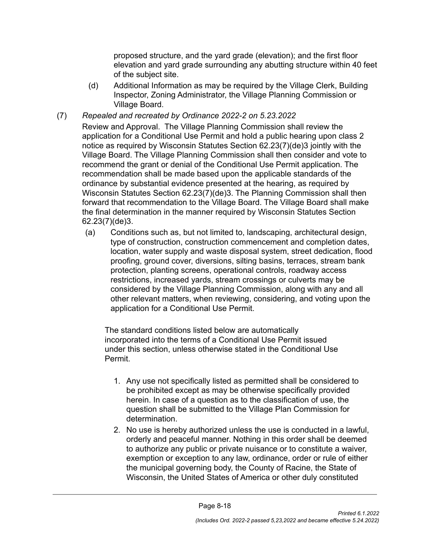proposed structure, and the yard grade (elevation); and the first floor elevation and yard grade surrounding any abutting structure within 40 feet of the subject site.

- (d) Additional Information as may be required by the Village Clerk, Building Inspector, Zoning Administrator, the Village Planning Commission or Village Board.
- (7) *Repealed and recreated by Ordinance 2022-2 on 5.23.2022*

Review and Approval. The Village Planning Commission shall review the application for a Conditional Use Permit and hold a public hearing upon class 2 notice as required by Wisconsin Statutes Section 62.23(7)(de)3 jointly with the Village Board. The Village Planning Commission shall then consider and vote to recommend the grant or denial of the Conditional Use Permit application. The recommendation shall be made based upon the applicable standards of the ordinance by substantial evidence presented at the hearing, as required by Wisconsin Statutes Section 62.23(7)(de)3. The Planning Commission shall then forward that recommendation to the Village Board. The Village Board shall make the final determination in the manner required by Wisconsin Statutes Section 62.23(7)(de)3.

(a) Conditions such as, but not limited to, landscaping, architectural design, type of construction, construction commencement and completion dates, location, water supply and waste disposal system, street dedication, flood proofing, ground cover, diversions, silting basins, terraces, stream bank protection, planting screens, operational controls, roadway access restrictions, increased yards, stream crossings or culverts may be considered by the Village Planning Commission, along with any and all other relevant matters, when reviewing, considering, and voting upon the application for a Conditional Use Permit.

The standard conditions listed below are automatically incorporated into the terms of a Conditional Use Permit issued under this section, unless otherwise stated in the Conditional Use Permit.

- 1. Any use not specifically listed as permitted shall be considered to be prohibited except as may be otherwise specifically provided herein. In case of a question as to the classification of use, the question shall be submitted to the Village Plan Commission for determination.
- 2. No use is hereby authorized unless the use is conducted in a lawful, orderly and peaceful manner. Nothing in this order shall be deemed to authorize any public or private nuisance or to constitute a waiver, exemption or exception to any law, ordinance, order or rule of either the municipal governing body, the County of Racine, the State of Wisconsin, the United States of America or other duly constituted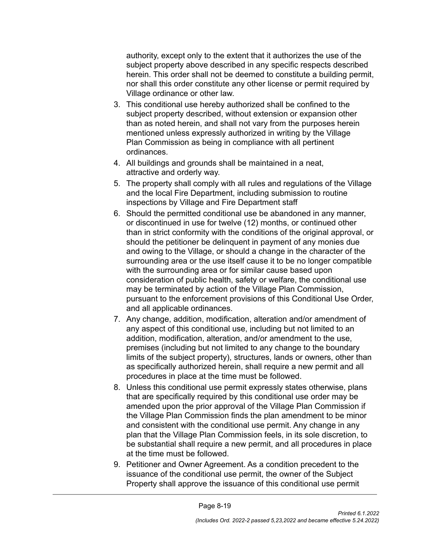authority, except only to the extent that it authorizes the use of the subject property above described in any specific respects described herein. This order shall not be deemed to constitute a building permit, nor shall this order constitute any other license or permit required by Village ordinance or other law.

- 3. This conditional use hereby authorized shall be confined to the subject property described, without extension or expansion other than as noted herein, and shall not vary from the purposes herein mentioned unless expressly authorized in writing by the Village Plan Commission as being in compliance with all pertinent ordinances.
- 4. All buildings and grounds shall be maintained in a neat, attractive and orderly way.
- 5. The property shall comply with all rules and regulations of the Village and the local Fire Department, including submission to routine inspections by Village and Fire Department staff
- 6. Should the permitted conditional use be abandoned in any manner, or discontinued in use for twelve (12) months, or continued other than in strict conformity with the conditions of the original approval, or should the petitioner be delinquent in payment of any monies due and owing to the Village, or should a change in the character of the surrounding area or the use itself cause it to be no longer compatible with the surrounding area or for similar cause based upon consideration of public health, safety or welfare, the conditional use may be terminated by action of the Village Plan Commission, pursuant to the enforcement provisions of this Conditional Use Order, and all applicable ordinances.
- 7. Any change, addition, modification, alteration and/or amendment of any aspect of this conditional use, including but not limited to an addition, modification, alteration, and/or amendment to the use, premises (including but not limited to any change to the boundary limits of the subject property), structures, lands or owners, other than as specifically authorized herein, shall require a new permit and all procedures in place at the time must be followed.
- 8. Unless this conditional use permit expressly states otherwise, plans that are specifically required by this conditional use order may be amended upon the prior approval of the Village Plan Commission if the Village Plan Commission finds the plan amendment to be minor and consistent with the conditional use permit. Any change in any plan that the Village Plan Commission feels, in its sole discretion, to be substantial shall require a new permit, and all procedures in place at the time must be followed.
- 9. Petitioner and Owner Agreement. As a condition precedent to the issuance of the conditional use permit, the owner of the Subject Property shall approve the issuance of this conditional use permit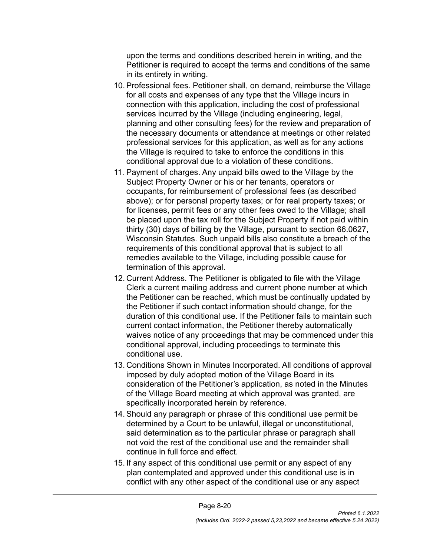upon the terms and conditions described herein in writing, and the Petitioner is required to accept the terms and conditions of the same in its entirety in writing.

- 10. Professional fees. Petitioner shall, on demand, reimburse the Village for all costs and expenses of any type that the Village incurs in connection with this application, including the cost of professional services incurred by the Village (including engineering, legal, planning and other consulting fees) for the review and preparation of the necessary documents or attendance at meetings or other related professional services for this application, as well as for any actions the Village is required to take to enforce the conditions in this conditional approval due to a violation of these conditions.
- 11. Payment of charges. Any unpaid bills owed to the Village by the Subject Property Owner or his or her tenants, operators or occupants, for reimbursement of professional fees (as described above); or for personal property taxes; or for real property taxes; or for licenses, permit fees or any other fees owed to the Village; shall be placed upon the tax roll for the Subject Property if not paid within thirty (30) days of billing by the Village, pursuant to section 66.0627, Wisconsin Statutes. Such unpaid bills also constitute a breach of the requirements of this conditional approval that is subject to all remedies available to the Village, including possible cause for termination of this approval.
- 12. Current Address. The Petitioner is obligated to file with the Village Clerk a current mailing address and current phone number at which the Petitioner can be reached, which must be continually updated by the Petitioner if such contact information should change, for the duration of this conditional use. If the Petitioner fails to maintain such current contact information, the Petitioner thereby automatically waives notice of any proceedings that may be commenced under this conditional approval, including proceedings to terminate this conditional use.
- 13. Conditions Shown in Minutes Incorporated. All conditions of approval imposed by duly adopted motion of the Village Board in its consideration of the Petitioner's application, as noted in the Minutes of the Village Board meeting at which approval was granted, are specifically incorporated herein by reference.
- 14. Should any paragraph or phrase of this conditional use permit be determined by a Court to be unlawful, illegal or unconstitutional, said determination as to the particular phrase or paragraph shall not void the rest of the conditional use and the remainder shall continue in full force and effect.
- 15. If any aspect of this conditional use permit or any aspect of any plan contemplated and approved under this conditional use is in conflict with any other aspect of the conditional use or any aspect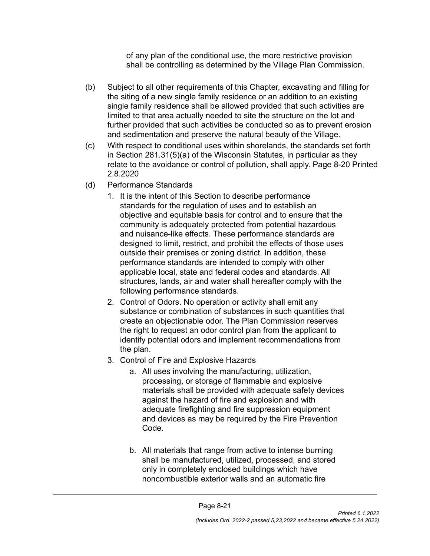of any plan of the conditional use, the more restrictive provision shall be controlling as determined by the Village Plan Commission.

- (b) Subject to all other requirements of this Chapter, excavating and filling for the siting of a new single family residence or an addition to an existing single family residence shall be allowed provided that such activities are limited to that area actually needed to site the structure on the lot and further provided that such activities be conducted so as to prevent erosion and sedimentation and preserve the natural beauty of the Village.
- (c) With respect to conditional uses within shorelands, the standards set forth in Section 281.31(5)(a) of the Wisconsin Statutes, in particular as they relate to the avoidance or control of pollution, shall apply. Page 8-20 Printed 2.8.2020
- (d) Performance Standards
	- 1. It is the intent of this Section to describe performance standards for the regulation of uses and to establish an objective and equitable basis for control and to ensure that the community is adequately protected from potential hazardous and nuisance-like effects. These performance standards are designed to limit, restrict, and prohibit the effects of those uses outside their premises or zoning district. In addition, these performance standards are intended to comply with other applicable local, state and federal codes and standards. All structures, lands, air and water shall hereafter comply with the following performance standards.
	- 2. Control of Odors. No operation or activity shall emit any substance or combination of substances in such quantities that create an objectionable odor. The Plan Commission reserves the right to request an odor control plan from the applicant to identify potential odors and implement recommendations from the plan.
	- 3. Control of Fire and Explosive Hazards
		- a. All uses involving the manufacturing, utilization, processing, or storage of flammable and explosive materials shall be provided with adequate safety devices against the hazard of fire and explosion and with adequate firefighting and fire suppression equipment and devices as may be required by the Fire Prevention Code.
		- b. All materials that range from active to intense burning shall be manufactured, utilized, processed, and stored only in completely enclosed buildings which have noncombustible exterior walls and an automatic fire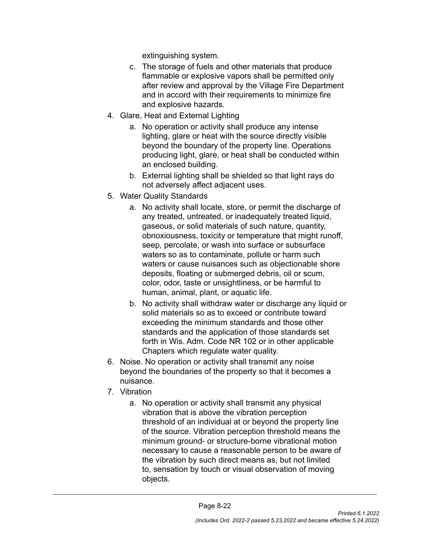extinguishing system.

- c. The storage of fuels and other materials that produce flammable or explosive vapors shall be permitted only after review and approval by the Village Fire Department and in accord with their requirements to minimize fire and explosive hazards.
- 4. Glare, Heat and External Lighting
	- a. No operation or activity shall produce any intense lighting, glare or heat with the source directly visible beyond the boundary of the property line. Operations producing light, glare, or heat shall be conducted within an enclosed building.
	- b. External lighting shall be shielded so that light rays do not adversely affect adjacent uses.
- 5. Water Quality Standards
	- a. No activity shall locate, store, or permit the discharge of any treated, untreated, or inadequately treated liquid, gaseous, or solid materials of such nature, quantity, obnoxiousness, toxicity or temperature that might runoff, seep, percolate, or wash into surface or subsurface waters so as to contaminate, pollute or harm such waters or cause nuisances such as objectionable shore deposits, floating or submerged debris, oil or scum, color, odor, taste or unsightliness, or be harmful to human, animal, plant, or aquatic life.
	- b. No activity shall withdraw water or discharge any liquid or solid materials so as to exceed or contribute toward exceeding the minimum standards and those other standards and the application of those standards set forth in Wis. Adm. Code NR 102 or in other applicable Chapters which regulate water quality.
- 6. Noise. No operation or activity shall transmit any noise beyond the boundaries of the property so that it becomes a nuisance.
- 7. Vibration
	- a. No operation or activity shall transmit any physical vibration that is above the vibration perception threshold of an individual at or beyond the property line of the source. Vibration perception threshold means the minimum ground- or structure-borne vibrational motion necessary to cause a reasonable person to be aware of the vibration by such direct means as, but not limited to, sensation by touch or visual observation of moving objects.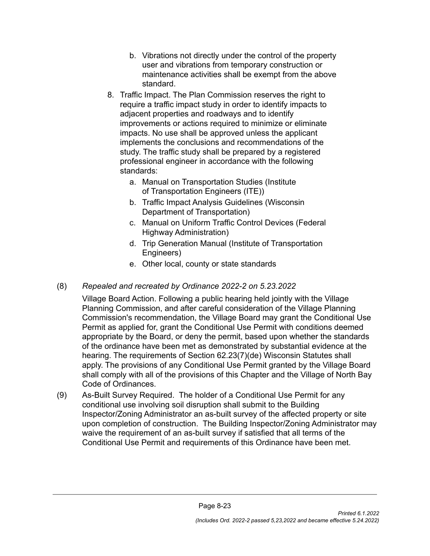- b. Vibrations not directly under the control of the property user and vibrations from temporary construction or maintenance activities shall be exempt from the above standard.
- 8. Traffic Impact. The Plan Commission reserves the right to require a traffic impact study in order to identify impacts to adjacent properties and roadways and to identify improvements or actions required to minimize or eliminate impacts. No use shall be approved unless the applicant implements the conclusions and recommendations of the study. The traffic study shall be prepared by a registered professional engineer in accordance with the following standards:
	- a. Manual on Transportation Studies (Institute of Transportation Engineers (ITE))
	- b. Traffic Impact Analysis Guidelines (Wisconsin Department of Transportation)
	- c. Manual on Uniform Traffic Control Devices (Federal Highway Administration)
	- d. Trip Generation Manual (Institute of Transportation Engineers)
	- e. Other local, county or state standards
- (8) *Repealed and recreated by Ordinance 2022-2 on 5.23.2022*

Village Board Action. Following a public hearing held jointly with the Village Planning Commission, and after careful consideration of the Village Planning Commission's recommendation, the Village Board may grant the Conditional Use Permit as applied for, grant the Conditional Use Permit with conditions deemed appropriate by the Board, or deny the permit, based upon whether the standards of the ordinance have been met as demonstrated by substantial evidence at the hearing. The requirements of Section 62.23(7)(de) Wisconsin Statutes shall apply. The provisions of any Conditional Use Permit granted by the Village Board shall comply with all of the provisions of this Chapter and the Village of North Bay Code of Ordinances.

(9) As-Built Survey Required. The holder of a Conditional Use Permit for any conditional use involving soil disruption shall submit to the Building Inspector/Zoning Administrator an as-built survey of the affected property or site upon completion of construction. The Building Inspector/Zoning Administrator may waive the requirement of an as-built survey if satisfied that all terms of the Conditional Use Permit and requirements of this Ordinance have been met.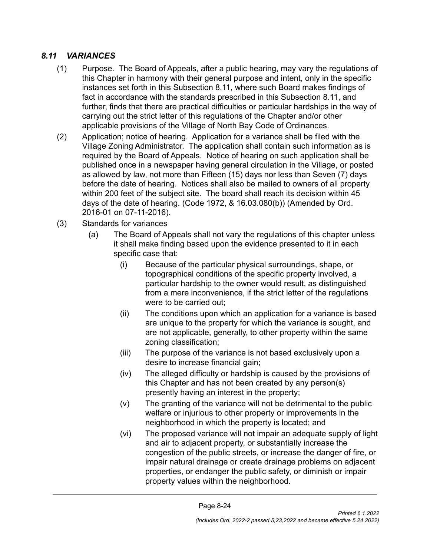#### <span id="page-24-0"></span>*8.11 VARIANCES*

- (1) Purpose. The Board of Appeals, after a public hearing, may vary the regulations of this Chapter in harmony with their general purpose and intent, only in the specific instances set forth in this Subsection 8.11, where such Board makes findings of fact in accordance with the standards prescribed in this Subsection 8.11, and further, finds that there are practical difficulties or particular hardships in the way of carrying out the strict letter of this regulations of the Chapter and/or other applicable provisions of the Village of North Bay Code of Ordinances.
- (2) Application; notice of hearing. Application for a variance shall be filed with the Village Zoning Administrator. The application shall contain such information as is required by the Board of Appeals. Notice of hearing on such application shall be published once in a newspaper having general circulation in the Village, or posted as allowed by law, not more than Fifteen (15) days nor less than Seven (7) days before the date of hearing. Notices shall also be mailed to owners of all property within 200 feet of the subject site. The board shall reach its decision within 45 days of the date of hearing. (Code 1972, & 16.03.080(b)) (Amended by Ord. 2016-01 on 07-11-2016).
- (3) Standards for variances
	- (a) The Board of Appeals shall not vary the regulations of this chapter unless it shall make finding based upon the evidence presented to it in each specific case that:
		- (i) Because of the particular physical surroundings, shape, or topographical conditions of the specific property involved, a particular hardship to the owner would result, as distinguished from a mere inconvenience, if the strict letter of the regulations were to be carried out;
		- (ii) The conditions upon which an application for a variance is based are unique to the property for which the variance is sought, and are not applicable, generally, to other property within the same zoning classification;
		- (iii) The purpose of the variance is not based exclusively upon a desire to increase financial gain;
		- (iv) The alleged difficulty or hardship is caused by the provisions of this Chapter and has not been created by any person(s) presently having an interest in the property;
		- (v) The granting of the variance will not be detrimental to the public welfare or injurious to other property or improvements in the neighborhood in which the property is located; and
		- (vi) The proposed variance will not impair an adequate supply of light and air to adjacent property, or substantially increase the congestion of the public streets, or increase the danger of fire, or impair natural drainage or create drainage problems on adjacent properties, or endanger the public safety, or diminish or impair property values within the neighborhood.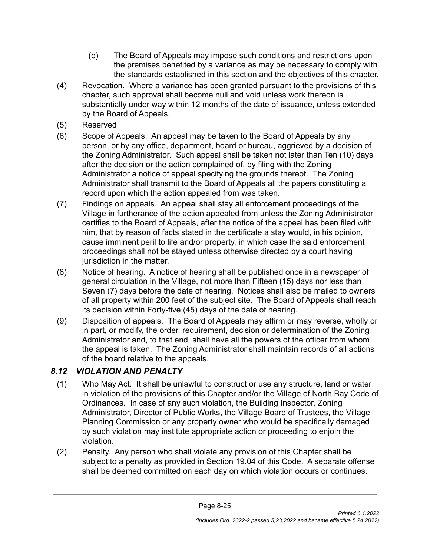- (b) The Board of Appeals may impose such conditions and restrictions upon the premises benefited by a variance as may be necessary to comply with the standards established in this section and the objectives of this chapter.
- (4) Revocation. Where a variance has been granted pursuant to the provisions of this chapter, such approval shall become null and void unless work thereon is substantially under way within 12 months of the date of issuance, unless extended by the Board of Appeals.
- (5) Reserved
- (6) Scope of Appeals. An appeal may be taken to the Board of Appeals by any person, or by any office, department, board or bureau, aggrieved by a decision of the Zoning Administrator. Such appeal shall be taken not later than Ten (10) days after the decision or the action complained of, by filing with the Zoning Administrator a notice of appeal specifying the grounds thereof. The Zoning Administrator shall transmit to the Board of Appeals all the papers constituting a record upon which the action appealed from was taken.
- (7) Findings on appeals. An appeal shall stay all enforcement proceedings of the Village in furtherance of the action appealed from unless the Zoning Administrator certifies to the Board of Appeals, after the notice of the appeal has been filed with him, that by reason of facts stated in the certificate a stay would, in his opinion, cause imminent peril to life and/or property, in which case the said enforcement proceedings shall not be stayed unless otherwise directed by a court having jurisdiction in the matter.
- (8) Notice of hearing. A notice of hearing shall be published once in a newspaper of general circulation in the Village, not more than Fifteen (15) days nor less than Seven (7) days before the date of hearing. Notices shall also be mailed to owners of all property within 200 feet of the subject site. The Board of Appeals shall reach its decision within Forty-five (45) days of the date of hearing.
- (9) Disposition of appeals. The Board of Appeals may affirm or may reverse, wholly or in part, or modify, the order, requirement, decision or determination of the Zoning Administrator and, to that end, shall have all the powers of the officer from whom the appeal is taken. The Zoning Administrator shall maintain records of all actions of the board relative to the appeals.

### <span id="page-25-0"></span>*8.12 VIOLATION AND PENALTY*

- (1) Who May Act. It shall be unlawful to construct or use any structure, land or water in violation of the provisions of this Chapter and/or the Village of North Bay Code of Ordinances. In case of any such violation, the Building Inspector, Zoning Administrator, Director of Public Works, the Village Board of Trustees, the Village Planning Commission or any property owner who would be specifically damaged by such violation may institute appropriate action or proceeding to enjoin the violation.
- (2) Penalty. Any person who shall violate any provision of this Chapter shall be subject to a penalty as provided in Section 19.04 of this Code. A separate offense shall be deemed committed on each day on which violation occurs or continues.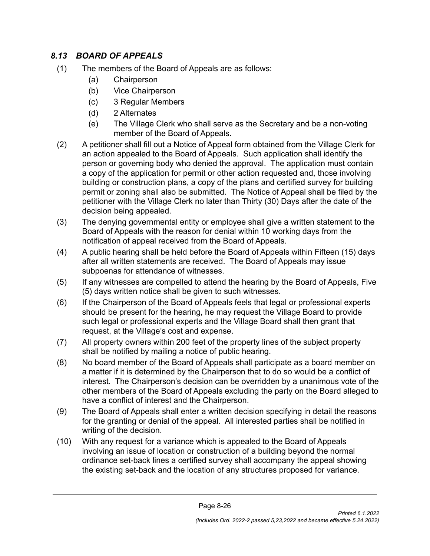### <span id="page-26-0"></span>*8.13 BOARD OF APPEALS*

- (1) The members of the Board of Appeals are as follows:
	- (a) Chairperson
	- (b) Vice Chairperson
	- (c) 3 Regular Members
	- (d) 2 Alternates
	- (e) The Village Clerk who shall serve as the Secretary and be a non-voting member of the Board of Appeals.
- (2) A petitioner shall fill out a Notice of Appeal form obtained from the Village Clerk for an action appealed to the Board of Appeals. Such application shall identify the person or governing body who denied the approval. The application must contain a copy of the application for permit or other action requested and, those involving building or construction plans, a copy of the plans and certified survey for building permit or zoning shall also be submitted. The Notice of Appeal shall be filed by the petitioner with the Village Clerk no later than Thirty (30) Days after the date of the decision being appealed.
- (3) The denying governmental entity or employee shall give a written statement to the Board of Appeals with the reason for denial within 10 working days from the notification of appeal received from the Board of Appeals.
- (4) A public hearing shall be held before the Board of Appeals within Fifteen (15) days after all written statements are received. The Board of Appeals may issue subpoenas for attendance of witnesses.
- (5) If any witnesses are compelled to attend the hearing by the Board of Appeals, Five (5) days written notice shall be given to such witnesses.
- (6) If the Chairperson of the Board of Appeals feels that legal or professional experts should be present for the hearing, he may request the Village Board to provide such legal or professional experts and the Village Board shall then grant that request, at the Village's cost and expense.
- (7) All property owners within 200 feet of the property lines of the subject property shall be notified by mailing a notice of public hearing.
- (8) No board member of the Board of Appeals shall participate as a board member on a matter if it is determined by the Chairperson that to do so would be a conflict of interest. The Chairperson's decision can be overridden by a unanimous vote of the other members of the Board of Appeals excluding the party on the Board alleged to have a conflict of interest and the Chairperson.
- (9) The Board of Appeals shall enter a written decision specifying in detail the reasons for the granting or denial of the appeal. All interested parties shall be notified in writing of the decision.
- (10) With any request for a variance which is appealed to the Board of Appeals involving an issue of location or construction of a building beyond the normal ordinance set-back lines a certified survey shall accompany the appeal showing the existing set-back and the location of any structures proposed for variance.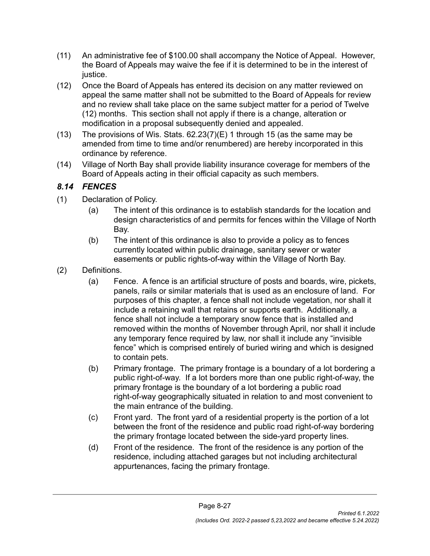- (11) An administrative fee of \$100.00 shall accompany the Notice of Appeal. However, the Board of Appeals may waive the fee if it is determined to be in the interest of justice.
- (12) Once the Board of Appeals has entered its decision on any matter reviewed on appeal the same matter shall not be submitted to the Board of Appeals for review and no review shall take place on the same subject matter for a period of Twelve (12) months. This section shall not apply if there is a change, alteration or modification in a proposal subsequently denied and appealed.
- (13) The provisions of Wis. Stats. 62.23(7)(E) 1 through 15 (as the same may be amended from time to time and/or renumbered) are hereby incorporated in this ordinance by reference.
- (14) Village of North Bay shall provide liability insurance coverage for members of the Board of Appeals acting in their official capacity as such members.

# <span id="page-27-0"></span>*8.14 FENCES*

- (1) Declaration of Policy.
	- (a) The intent of this ordinance is to establish standards for the location and design characteristics of and permits for fences within the Village of North Bay.
	- (b) The intent of this ordinance is also to provide a policy as to fences currently located within public drainage, sanitary sewer or water easements or public rights-of-way within the Village of North Bay.
- (2) Definitions.
	- (a) Fence. A fence is an artificial structure of posts and boards, wire, pickets, panels, rails or similar materials that is used as an enclosure of land. For purposes of this chapter, a fence shall not include vegetation, nor shall it include a retaining wall that retains or supports earth. Additionally, a fence shall not include a temporary snow fence that is installed and removed within the months of November through April, nor shall it include any temporary fence required by law, nor shall it include any "invisible fence" which is comprised entirely of buried wiring and which is designed to contain pets.
	- (b) Primary frontage. The primary frontage is a boundary of a lot bordering a public right-of-way. If a lot borders more than one public right-of-way, the primary frontage is the boundary of a lot bordering a public road right-of-way geographically situated in relation to and most convenient to the main entrance of the building.
	- (c) Front yard. The front yard of a residential property is the portion of a lot between the front of the residence and public road right-of-way bordering the primary frontage located between the side-yard property lines.
	- (d) Front of the residence. The front of the residence is any portion of the residence, including attached garages but not including architectural appurtenances, facing the primary frontage.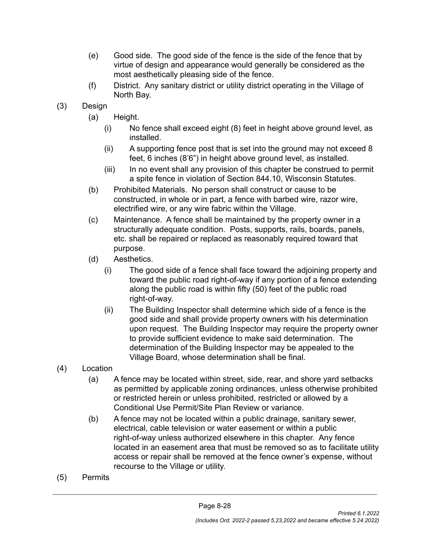- (e) Good side. The good side of the fence is the side of the fence that by virtue of design and appearance would generally be considered as the most aesthetically pleasing side of the fence.
- (f) District. Any sanitary district or utility district operating in the Village of North Bay.
- (3) Design
	- (a) Height.
		- (i) No fence shall exceed eight (8) feet in height above ground level, as installed.
		- (ii) A supporting fence post that is set into the ground may not exceed 8 feet, 6 inches (8'6") in height above ground level, as installed.
		- (iii) In no event shall any provision of this chapter be construed to permit a spite fence in violation of Section 844.10, Wisconsin Statutes.
	- (b) Prohibited Materials. No person shall construct or cause to be constructed, in whole or in part, a fence with barbed wire, razor wire, electrified wire, or any wire fabric within the Village.
	- (c) Maintenance. A fence shall be maintained by the property owner in a structurally adequate condition. Posts, supports, rails, boards, panels, etc. shall be repaired or replaced as reasonably required toward that purpose.
	- (d) Aesthetics.
		- (i) The good side of a fence shall face toward the adjoining property and toward the public road right-of-way if any portion of a fence extending along the public road is within fifty (50) feet of the public road right-of-way.
		- (ii) The Building Inspector shall determine which side of a fence is the good side and shall provide property owners with his determination upon request. The Building Inspector may require the property owner to provide sufficient evidence to make said determination. The determination of the Building Inspector may be appealed to the Village Board, whose determination shall be final.
- (4) Location
	- (a) A fence may be located within street, side, rear, and shore yard setbacks as permitted by applicable zoning ordinances, unless otherwise prohibited or restricted herein or unless prohibited, restricted or allowed by a Conditional Use Permit/Site Plan Review or variance.
	- (b) A fence may not be located within a public drainage, sanitary sewer, electrical, cable television or water easement or within a public right-of-way unless authorized elsewhere in this chapter. Any fence located in an easement area that must be removed so as to facilitate utility access or repair shall be removed at the fence owner's expense, without recourse to the Village or utility.
- (5) Permits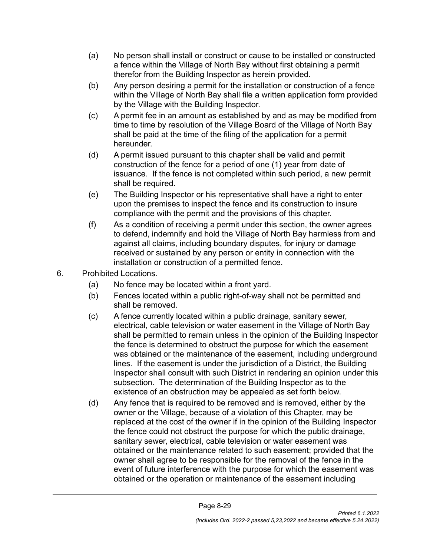- (a) No person shall install or construct or cause to be installed or constructed a fence within the Village of North Bay without first obtaining a permit therefor from the Building Inspector as herein provided.
- (b) Any person desiring a permit for the installation or construction of a fence within the Village of North Bay shall file a written application form provided by the Village with the Building Inspector.
- (c) A permit fee in an amount as established by and as may be modified from time to time by resolution of the Village Board of the Village of North Bay shall be paid at the time of the filing of the application for a permit hereunder.
- (d) A permit issued pursuant to this chapter shall be valid and permit construction of the fence for a period of one (1) year from date of issuance. If the fence is not completed within such period, a new permit shall be required.
- (e) The Building Inspector or his representative shall have a right to enter upon the premises to inspect the fence and its construction to insure compliance with the permit and the provisions of this chapter.
- (f) As a condition of receiving a permit under this section, the owner agrees to defend, indemnify and hold the Village of North Bay harmless from and against all claims, including boundary disputes, for injury or damage received or sustained by any person or entity in connection with the installation or construction of a permitted fence.
- 6. Prohibited Locations.
	- (a) No fence may be located within a front yard.
	- (b) Fences located within a public right-of-way shall not be permitted and shall be removed.
	- (c) A fence currently located within a public drainage, sanitary sewer, electrical, cable television or water easement in the Village of North Bay shall be permitted to remain unless in the opinion of the Building Inspector the fence is determined to obstruct the purpose for which the easement was obtained or the maintenance of the easement, including underground lines. If the easement is under the jurisdiction of a District, the Building Inspector shall consult with such District in rendering an opinion under this subsection. The determination of the Building Inspector as to the existence of an obstruction may be appealed as set forth below.
	- (d) Any fence that is required to be removed and is removed, either by the owner or the Village, because of a violation of this Chapter, may be replaced at the cost of the owner if in the opinion of the Building Inspector the fence could not obstruct the purpose for which the public drainage, sanitary sewer, electrical, cable television or water easement was obtained or the maintenance related to such easement; provided that the owner shall agree to be responsible for the removal of the fence in the event of future interference with the purpose for which the easement was obtained or the operation or maintenance of the easement including